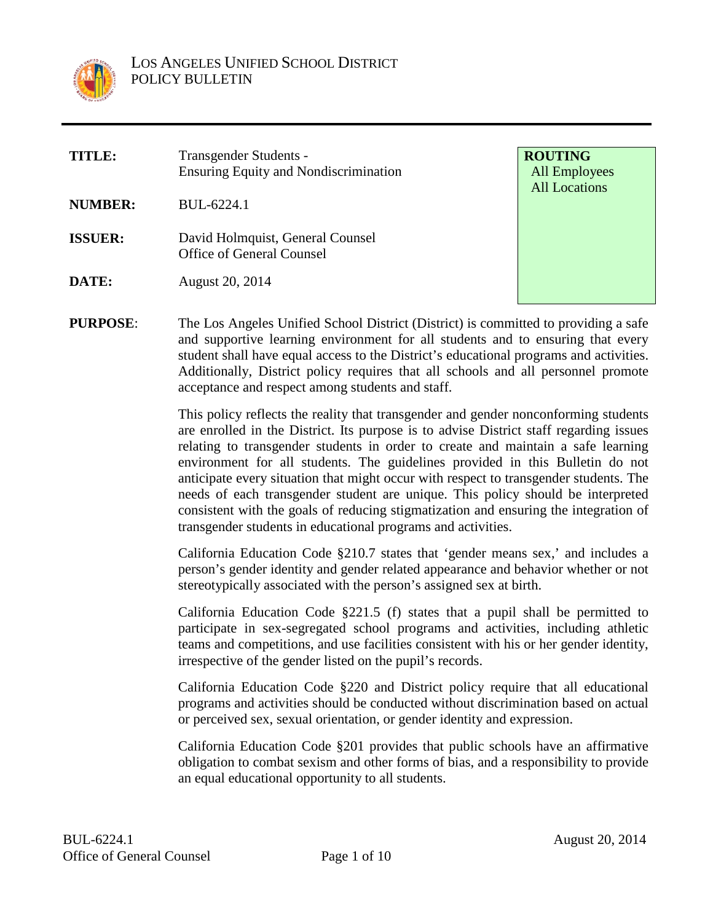

| <b>TITLE:</b>   | Transgender Students -<br><b>Ensuring Equity and Nondiscrimination</b>              | <b>ROUTING</b><br><b>All Employees</b><br><b>All Locations</b> |
|-----------------|-------------------------------------------------------------------------------------|----------------------------------------------------------------|
| <b>NUMBER:</b>  | BUL-6224.1                                                                          |                                                                |
| <b>ISSUER:</b>  | David Holmquist, General Counsel<br><b>Office of General Counsel</b>                |                                                                |
| <b>DATE:</b>    | August 20, 2014                                                                     |                                                                |
| <b>PURPOSE:</b> | The Los Angeles Unified School District (District) is committed to providing a safe |                                                                |

and supportive learning environment for all students and to ensuring that every student shall have equal access to the District's educational programs and activities. Additionally, District policy requires that all schools and all personnel promote acceptance and respect among students and staff.

> This policy reflects the reality that transgender and gender nonconforming students are enrolled in the District. Its purpose is to advise District staff regarding issues relating to transgender students in order to create and maintain a safe learning environment for all students. The guidelines provided in this Bulletin do not anticipate every situation that might occur with respect to transgender students. The needs of each transgender student are unique. This policy should be interpreted consistent with the goals of reducing stigmatization and ensuring the integration of transgender students in educational programs and activities.

> California Education Code §210.7 states that 'gender means sex,' and includes a person's gender identity and gender related appearance and behavior whether or not stereotypically associated with the person's assigned sex at birth.

> California Education Code §221.5 (f) states that a pupil shall be permitted to participate in sex-segregated school programs and activities, including athletic teams and competitions, and use facilities consistent with his or her gender identity, irrespective of the gender listed on the pupil's records.

> California Education Code §220 and District policy require that all educational programs and activities should be conducted without discrimination based on actual or perceived sex, sexual orientation, or gender identity and expression.

> California Education Code §201 provides that public schools have an affirmative obligation to combat sexism and other forms of bias, and a responsibility to provide an equal educational opportunity to all students.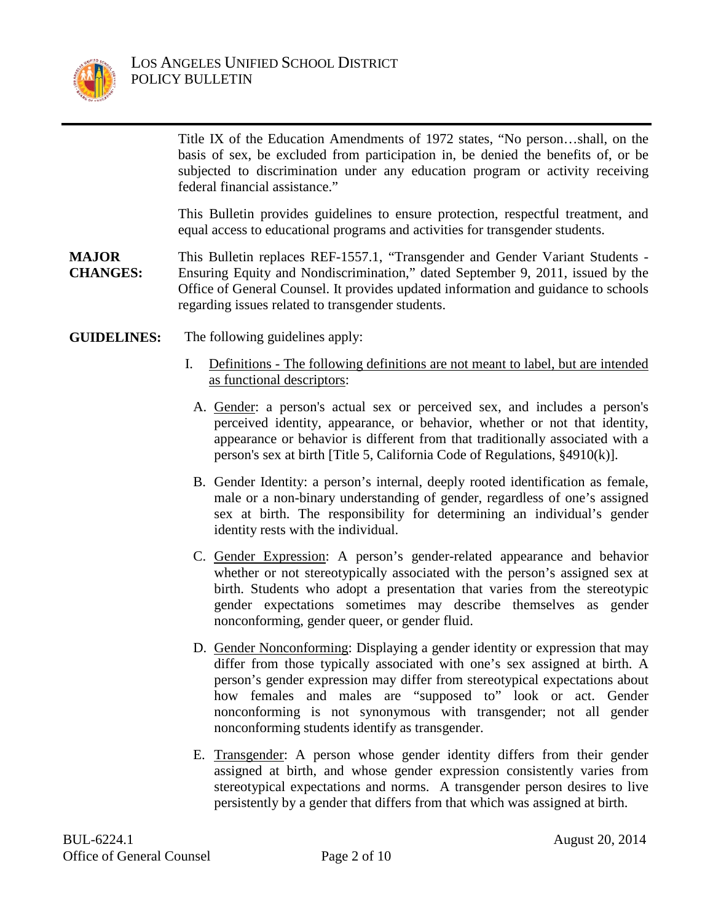

Title IX of the Education Amendments of 1972 states, "No person…shall, on the basis of sex, be excluded from participation in, be denied the benefits of, or be subjected to discrimination under any education program or activity receiving federal financial assistance."

This Bulletin provides guidelines to ensure protection, respectful treatment, and equal access to educational programs and activities for transgender students.

**MAJOR CHANGES:** This Bulletin replaces REF-1557.1, "Transgender and Gender Variant Students - Ensuring Equity and Nondiscrimination," dated September 9, 2011, issued by the Office of General Counsel. It provides updated information and guidance to schools regarding issues related to transgender students.

- **GUIDELINES:** The following guidelines apply:
	- I. Definitions The following definitions are not meant to label, but are intended as functional descriptors:
		- A. Gender: a person's actual sex or perceived sex, and includes a person's perceived identity, appearance, or behavior, whether or not that identity, appearance or behavior is different from that traditionally associated with a person's sex at birth [Title 5, California Code of Regulations, §4910(k)].
		- B. Gender Identity: a person's internal, deeply rooted identification as female, male or a non-binary understanding of gender, regardless of one's assigned sex at birth. The responsibility for determining an individual's gender identity rests with the individual.
		- C. Gender Expression: A person's gender-related appearance and behavior whether or not stereotypically associated with the person's assigned sex at birth. Students who adopt a presentation that varies from the stereotypic gender expectations sometimes may describe themselves as gender nonconforming, gender queer, or gender fluid.
		- D. Gender Nonconforming: Displaying a gender identity or expression that may differ from those typically associated with one's sex assigned at birth. A person's gender expression may differ from stereotypical expectations about how females and males are "supposed to" look or act. Gender nonconforming is not synonymous with transgender; not all gender nonconforming students identify as transgender.
		- E. Transgender: A person whose gender identity differs from their gender assigned at birth, and whose gender expression consistently varies from stereotypical expectations and norms. A transgender person desires to live persistently by a gender that differs from that which was assigned at birth.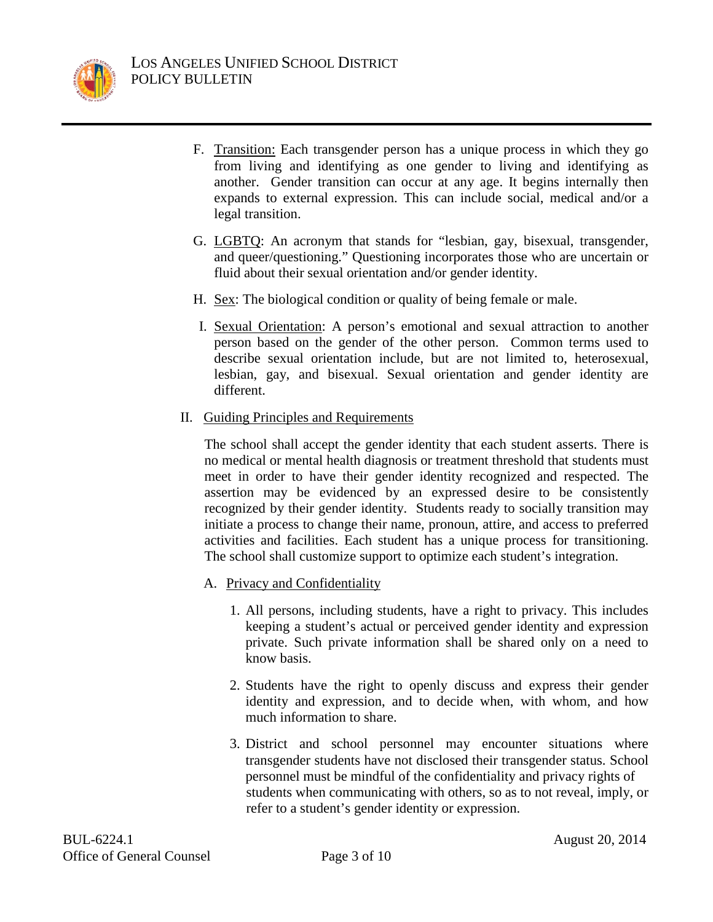

- F. Transition: Each transgender person has a unique process in which they go from living and identifying as one gender to living and identifying as another. Gender transition can occur at any age. It begins internally then expands to external expression. This can include social, medical and/or a legal transition.
- G. LGBTQ: An acronym that stands for "lesbian, gay, bisexual, transgender, and queer/questioning." Questioning incorporates those who are uncertain or fluid about their sexual orientation and/or gender identity.
- H. Sex: The biological condition or quality of being female or male.
- I. Sexual Orientation: A person's emotional and sexual attraction to another person based on the gender of the other person. Common terms used to describe sexual orientation include, but are not limited to, heterosexual, lesbian, gay, and bisexual. Sexual orientation and gender identity are different.
- II. Guiding Principles and Requirements

The school shall accept the gender identity that each student asserts. There is no medical or mental health diagnosis or treatment threshold that students must meet in order to have their gender identity recognized and respected. The assertion may be evidenced by an expressed desire to be consistently recognized by their gender identity. Students ready to socially transition may initiate a process to change their name, pronoun, attire, and access to preferred activities and facilities. Each student has a unique process for transitioning. The school shall customize support to optimize each student's integration.

- A. Privacy and Confidentiality
	- 1. All persons, including students, have a right to privacy. This includes keeping a student's actual or perceived gender identity and expression private. Such private information shall be shared only on a need to know basis.
	- 2. Students have the right to openly discuss and express their gender identity and expression, and to decide when, with whom, and how much information to share.
	- 3. District and school personnel may encounter situations where transgender students have not disclosed their transgender status. School personnel must be mindful of the confidentiality and privacy rights of students when communicating with others, so as to not reveal, imply, or refer to a student's gender identity or expression.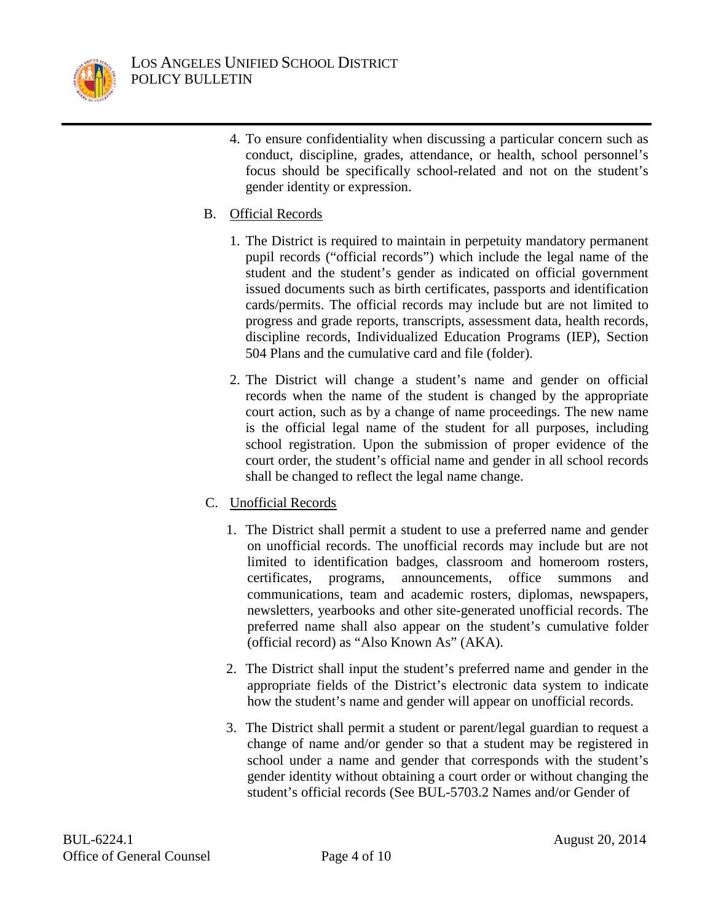

- 4. To ensure confidentiality when discussing a particular concern such as conduct, discipline, grades, attendance, or health, school personnel's focus should be specifically school-related and not on the student's gender identity or expression.
- B. Official Records
	- 1. The District is required to maintain in perpetuity mandatory permanent pupil records ("official records") which include the legal name of the student and the student's gender as indicated on official government issued documents such as birth certificates, passports and identification cards/permits. The official records may include but are not limited to progress and grade reports, transcripts, assessment data, health records, discipline records, Individualized Education Programs (IEP), Section 504 Plans and the cumulative card and file (folder).
	- 2. The District will change a student's name and gender on official records when the name of the student is changed by the appropriate court action, such as by a change of name proceedings. The new name is the official legal name of the student for all purposes, including school registration. Upon the submission of proper evidence of the court order, the student's official name and gender in all school records shall be changed to reflect the legal name change.
- C. Unofficial Records
	- 1. The District shall permit a student to use a preferred name and gender on unofficial records. The unofficial records may include but are not limited to identification badges, classroom and homeroom rosters, certificates, programs, announcements, office summons and communications, team and academic rosters, diplomas, newspapers, newsletters, yearbooks and other site-generated unofficial records. The preferred name shall also appear on the student's cumulative folder (official record) as "Also Known As" (AKA).
	- 2. The District shall input the student's preferred name and gender in the appropriate fields of the District's electronic data system to indicate how the student's name and gender will appear on unofficial records.
	- 3. The District shall permit a student or parent/legal guardian to request a change of name and/or gender so that a student may be registered in school under a name and gender that corresponds with the student's gender identity without obtaining a court order or without changing the student's official records (See BUL-5703.2 Names and/or Gender of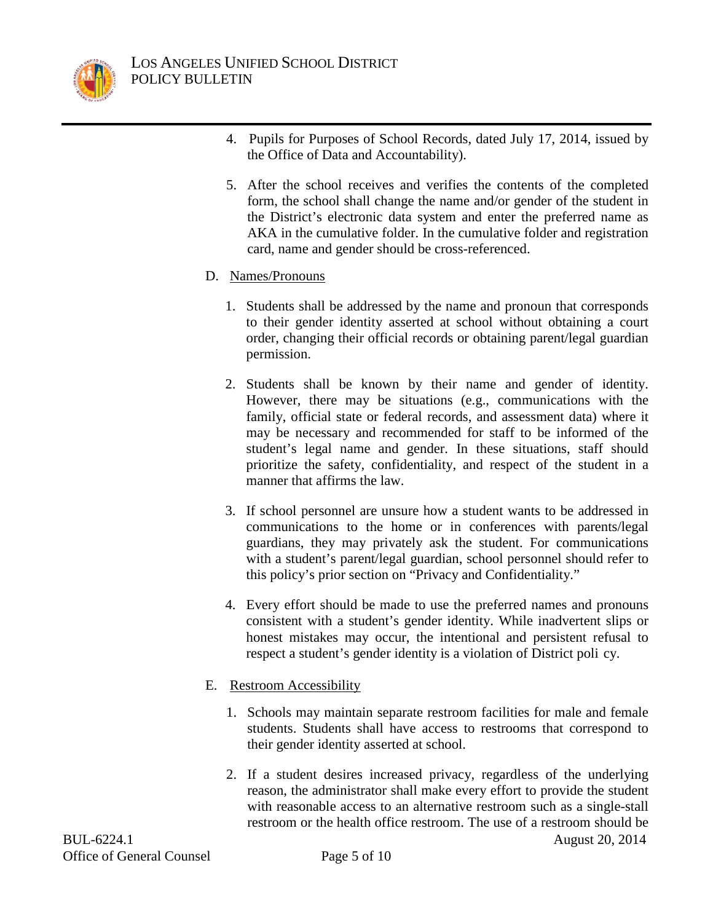

- 4. Pupils for Purposes of School Records, dated July 17, 2014, issued by the Office of Data and Accountability).
- 5. After the school receives and verifies the contents of the completed form, the school shall change the name and/or gender of the student in the District's electronic data system and enter the preferred name as AKA in the cumulative folder. In the cumulative folder and registration card, name and gender should be cross-referenced.
- D. Names/Pronouns
	- 1. Students shall be addressed by the name and pronoun that corresponds to their gender identity asserted at school without obtaining a court order, changing their official records or obtaining parent/legal guardian permission.
	- 2. Students shall be known by their name and gender of identity. However, there may be situations (e.g., communications with the family, official state or federal records, and assessment data) where it may be necessary and recommended for staff to be informed of the student's legal name and gender. In these situations, staff should prioritize the safety, confidentiality, and respect of the student in a manner that affirms the law.
	- 3. If school personnel are unsure how a student wants to be addressed in communications to the home or in conferences with parents/legal guardians, they may privately ask the student. For communications with a student's parent/legal guardian, school personnel should refer to this policy's prior section on "Privacy and Confidentiality."
	- 4. Every effort should be made to use the preferred names and pronouns consistent with a student's gender identity. While inadvertent slips or honest mistakes may occur, the intentional and persistent refusal to respect a student's gender identity is a violation of District poli cy.
- E. Restroom Accessibility
	- 1. Schools may maintain separate restroom facilities for male and female students. Students shall have access to restrooms that correspond to their gender identity asserted at school.
	- 2. If a student desires increased privacy, regardless of the underlying reason, the administrator shall make every effort to provide the student with reasonable access to an alternative restroom such as a single-stall restroom or the health office restroom. The use of a restroom should be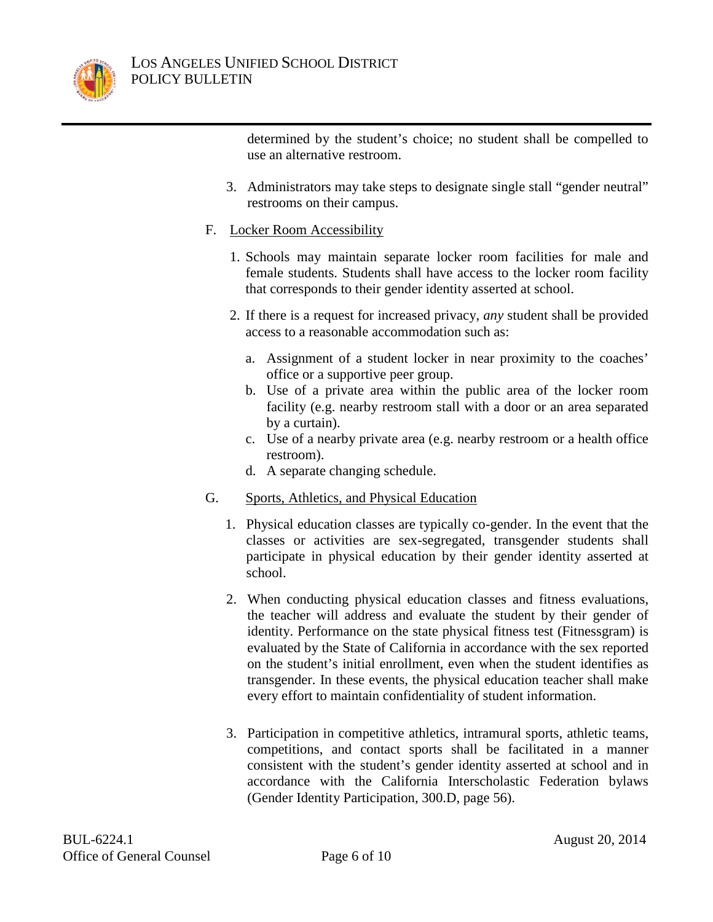

determined by the student's choice; no student shall be compelled to use an alternative restroom.

- 3. Administrators may take steps to designate single stall "gender neutral" restrooms on their campus.
- F. Locker Room Accessibility
	- 1. Schools may maintain separate locker room facilities for male and female students. Students shall have access to the locker room facility that corresponds to their gender identity asserted at school.
	- 2. If there is a request for increased privacy, *any* student shall be provided access to a reasonable accommodation such as:
		- a. Assignment of a student locker in near proximity to the coaches' office or a supportive peer group.
		- b. Use of a private area within the public area of the locker room facility (e.g. nearby restroom stall with a door or an area separated by a curtain).
		- c. Use of a nearby private area (e.g. nearby restroom or a health office restroom).
		- d. A separate changing schedule.
- G. Sports, Athletics, and Physical Education
	- 1. Physical education classes are typically co-gender. In the event that the classes or activities are sex-segregated, transgender students shall participate in physical education by their gender identity asserted at school.
	- 2. When conducting physical education classes and fitness evaluations, the teacher will address and evaluate the student by their gender of identity. Performance on the state physical fitness test (Fitnessgram) is evaluated by the State of California in accordance with the sex reported on the student's initial enrollment, even when the student identifies as transgender. In these events, the physical education teacher shall make every effort to maintain confidentiality of student information.
	- 3. Participation in competitive athletics, intramural sports, athletic teams, competitions, and contact sports shall be facilitated in a manner consistent with the student's gender identity asserted at school and in accordance with the California Interscholastic Federation bylaws (Gender Identity Participation, 300.D, page 56).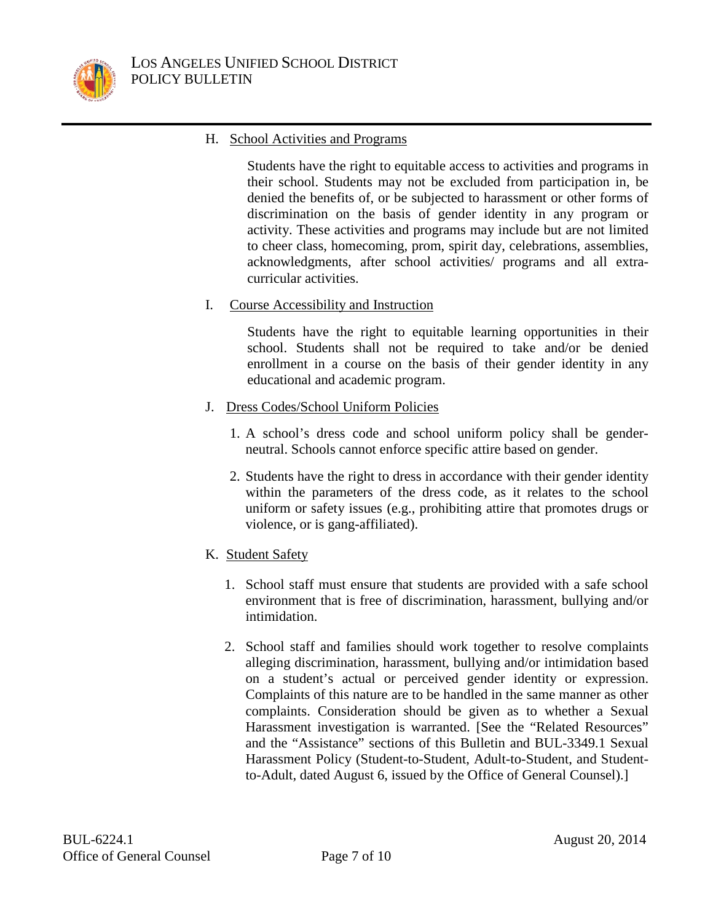

## H. School Activities and Programs

Students have the right to equitable access to activities and programs in their school. Students may not be excluded from participation in, be denied the benefits of, or be subjected to harassment or other forms of discrimination on the basis of gender identity in any program or activity. These activities and programs may include but are not limited to cheer class, homecoming, prom, spirit day, celebrations, assemblies, acknowledgments, after school activities/ programs and all extracurricular activities.

## I. Course Accessibility and Instruction

Students have the right to equitable learning opportunities in their school. Students shall not be required to take and/or be denied enrollment in a course on the basis of their gender identity in any educational and academic program.

## J. Dress Codes/School Uniform Policies

- 1. A school's dress code and school uniform policy shall be genderneutral. Schools cannot enforce specific attire based on gender.
- 2. Students have the right to dress in accordance with their gender identity within the parameters of the dress code, as it relates to the school uniform or safety issues (e.g., prohibiting attire that promotes drugs or violence, or is gang-affiliated).

## K. Student Safety

- 1. School staff must ensure that students are provided with a safe school environment that is free of discrimination, harassment, bullying and/or intimidation.
- 2. School staff and families should work together to resolve complaints alleging discrimination, harassment, bullying and/or intimidation based on a student's actual or perceived gender identity or expression. Complaints of this nature are to be handled in the same manner as other complaints. Consideration should be given as to whether a Sexual Harassment investigation is warranted. [See the "Related Resources" and the "Assistance" sections of this Bulletin and BUL-3349.1 Sexual Harassment Policy (Student-to-Student, Adult-to-Student, and Studentto-Adult, dated August 6, issued by the Office of General Counsel).]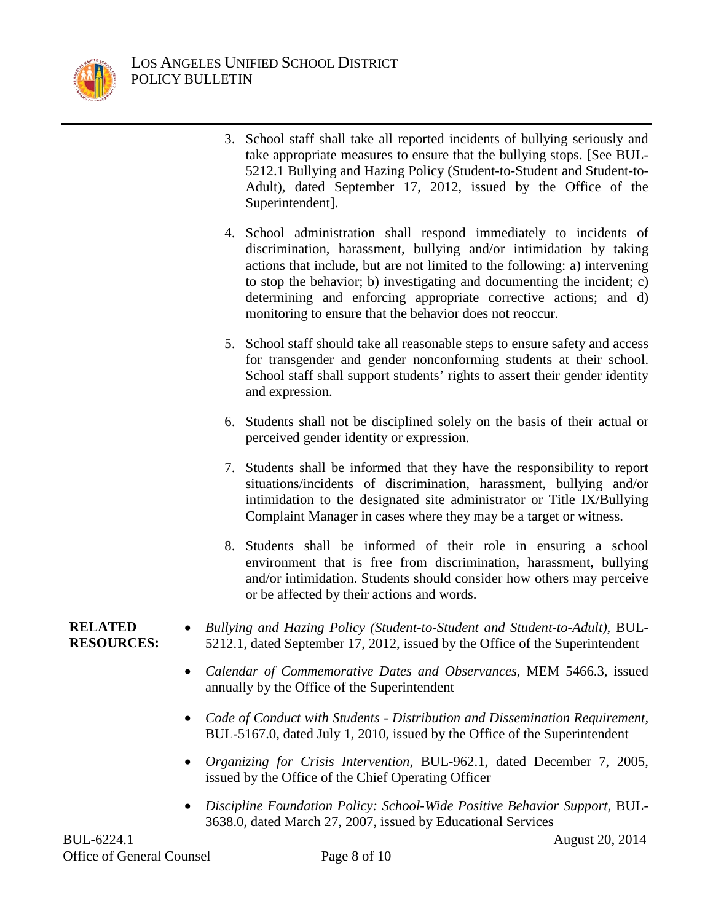

- 3. School staff shall take all reported incidents of bullying seriously and take appropriate measures to ensure that the bullying stops. [See BUL-5212.1 Bullying and Hazing Policy (Student-to-Student and Student-to-Adult)*,* dated September 17, 2012, issued by the Office of the Superintendent].
- 4. School administration shall respond immediately to incidents of discrimination, harassment, bullying and/or intimidation by taking actions that include, but are not limited to the following: a) intervening to stop the behavior; b) investigating and documenting the incident; c) determining and enforcing appropriate corrective actions; and d) monitoring to ensure that the behavior does not reoccur.
- 5. School staff should take all reasonable steps to ensure safety and access for transgender and gender nonconforming students at their school. School staff shall support students' rights to assert their gender identity and expression.
- 6. Students shall not be disciplined solely on the basis of their actual or perceived gender identity or expression.
- 7. Students shall be informed that they have the responsibility to report situations/incidents of discrimination, harassment, bullying and/or intimidation to the designated site administrator or Title IX/Bullying Complaint Manager in cases where they may be a target or witness.
- 8. Students shall be informed of their role in ensuring a school environment that is free from discrimination, harassment, bullying and/or intimidation. Students should consider how others may perceive or be affected by their actions and words.
- **RELATED RESOURCES:** • *Bullying and Hazing Policy (Student-to-Student and Student-to-Adult),* BUL-5212.1, dated September 17, 2012, issued by the Office of the Superintendent
	- *Calendar of Commemorative Dates and Observances,* MEM 5466.3, issued annually by the Office of the Superintendent
	- *Code of Conduct with Students - Distribution and Dissemination Requirement,* BUL-5167.0, dated July 1, 2010, issued by the Office of the Superintendent
	- *Organizing for Crisis Intervention,* BUL-962.1, dated December 7, 2005, issued by the Office of the Chief Operating Officer
	- *Discipline Foundation Policy: School-Wide Positive Behavior Support,* BUL-3638.0, dated March 27, 2007, issued by Educational Services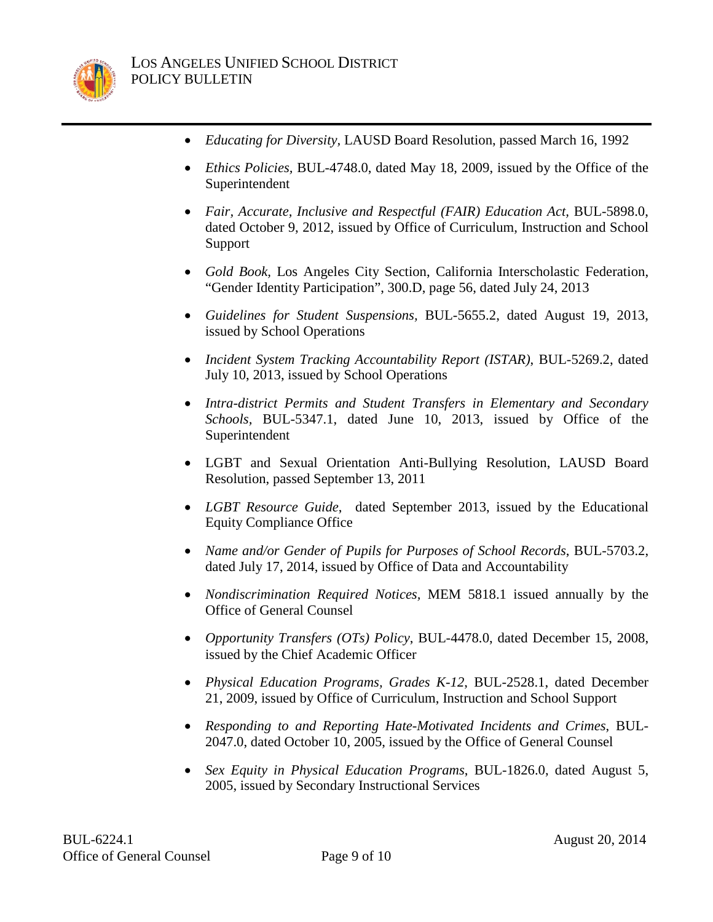

- *Educating for Diversity,* LAUSD Board Resolution, passed March 16, 1992
- *Ethics Policies,* BUL-4748.0, dated May 18, 2009, issued by the Office of the Superintendent
- *Fair, Accurate, Inclusive and Respectful (FAIR) Education Act, BUL-5898.0,* dated October 9, 2012, issued by Office of Curriculum, Instruction and School Support
- *Gold Book,* Los Angeles City Section, California Interscholastic Federation, "Gender Identity Participation", 300.D, page 56, dated July 24, 2013
- *Guidelines for Student Suspensions,* BUL-5655.2, dated August 19, 2013, issued by School Operations
- *Incident System Tracking Accountability Report (ISTAR)*, BUL-5269.2, dated July 10, 2013, issued by School Operations
- *Intra-district Permits and Student Transfers in Elementary and Secondary Schools,* BUL-5347.1, dated June 10, 2013, issued by Office of the Superintendent
- LGBT and Sexual Orientation Anti-Bullying Resolution, LAUSD Board Resolution, passed September 13, 2011
- *LGBT Resource Guide*, dated September 2013, issued by the Educational Equity Compliance Office
- *Name and/or Gender of Pupils for Purposes of School Records*, BUL-5703.2, dated July 17, 2014, issued by Office of Data and Accountability
- *Nondiscrimination Required Notices,* MEM 5818.1 issued annually by the Office of General Counsel
- *Opportunity Transfers (OTs) Policy*, BUL-4478.0, dated December 15, 2008, issued by the Chief Academic Officer
- *Physical Education Programs, Grades K-12*, BUL-2528.1, dated December 21, 2009, issued by Office of Curriculum, Instruction and School Support
- *Responding to and Reporting Hate-Motivated Incidents and Crimes*, BUL-2047.0, dated October 10, 2005, issued by the Office of General Counsel
- *Sex Equity in Physical Education Programs*, BUL-1826.0, dated August 5, 2005, issued by Secondary Instructional Services